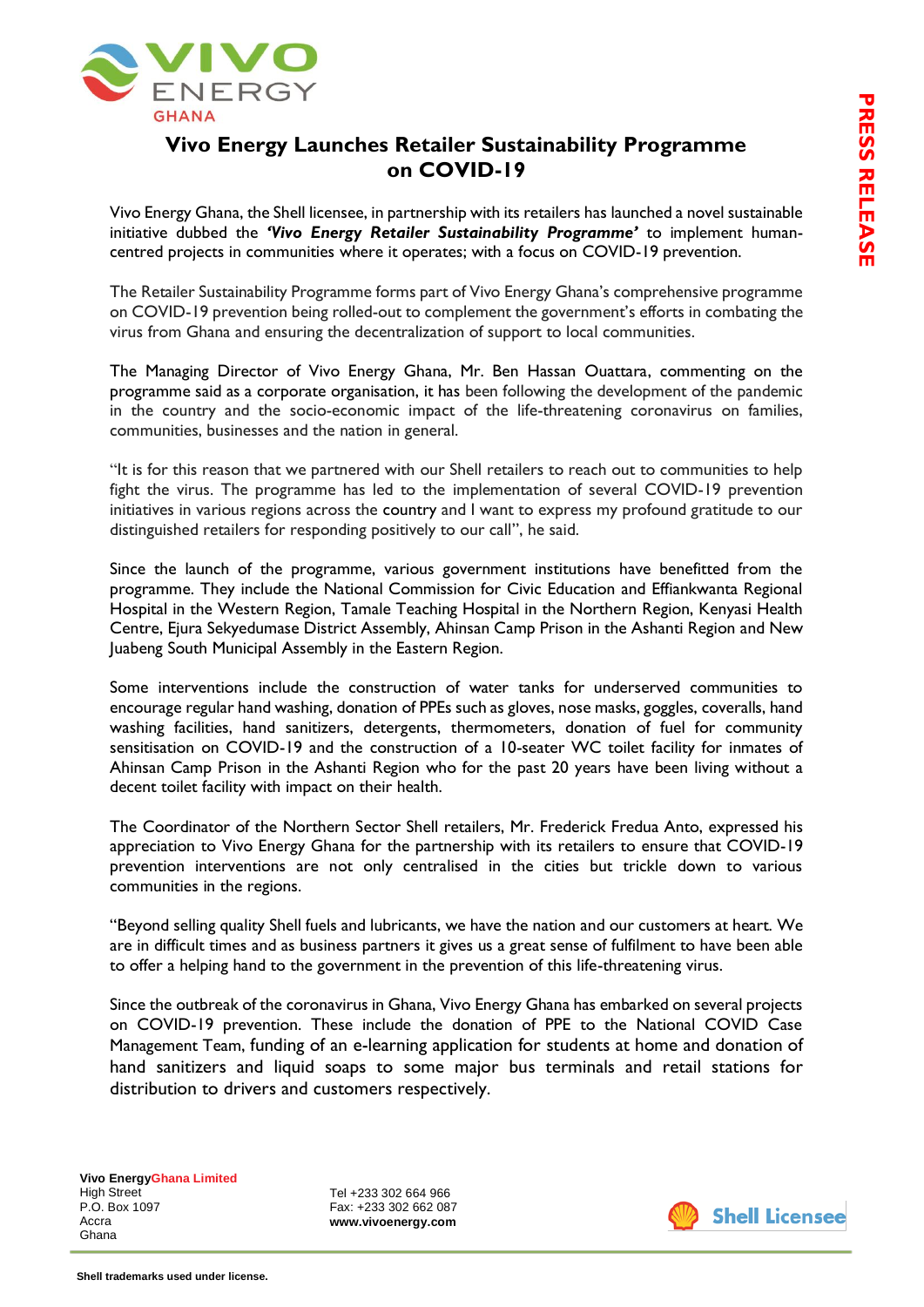

## **Vivo Energy Launches Retailer Sustainability Programme on COVID-19**

Vivo Energy Ghana, the Shell licensee, in partnership with its retailers has launched a novel sustainable initiative dubbed the *'Vivo Energy Retailer Sustainability Programme'* to implement humancentred projects in communities where it operates; with a focus on COVID-19 prevention.

The Retailer Sustainability Programme forms part of Vivo Energy Ghana's comprehensive programme on COVID-19 prevention being rolled-out to complement the government's efforts in combating the virus from Ghana and ensuring the decentralization of support to local communities.

The Managing Director of Vivo Energy Ghana, Mr. Ben Hassan Ouattara, commenting on the programme said as a corporate organisation, it has been following the development of the pandemic in the country and the socio-economic impact of the life-threatening coronavirus on families, communities, businesses and the nation in general.

"It is for this reason that we partnered with our Shell retailers to reach out to communities to help fight the virus. The programme has led to the implementation of several COVID-19 prevention initiatives in various regions across the country and I want to express my profound gratitude to our distinguished retailers for responding positively to our call", he said.

Since the launch of the programme, various government institutions have benefitted from the programme. They include the National Commission for Civic Education and Effiankwanta Regional Hospital in the Western Region, Tamale Teaching Hospital in the Northern Region, Kenyasi Health Centre, Ejura Sekyedumase District Assembly, Ahinsan Camp Prison in the Ashanti Region and New Juabeng South Municipal Assembly in the Eastern Region.

Some interventions include the construction of water tanks for underserved communities to encourage regular hand washing, donation of PPEs such as gloves, nose masks, goggles, coveralls, hand washing facilities, hand sanitizers, detergents, thermometers, donation of fuel for community sensitisation on COVID-19 and the construction of a 10-seater WC toilet facility for inmates of Ahinsan Camp Prison in the Ashanti Region who for the past 20 years have been living without a decent toilet facility with impact on their health.

The Coordinator of the Northern Sector Shell retailers, Mr. Frederick Fredua Anto, expressed his appreciation to Vivo Energy Ghana for the partnership with its retailers to ensure that COVID-19 prevention interventions are not only centralised in the cities but trickle down to various communities in the regions.

"Beyond selling quality Shell fuels and lubricants, we have the nation and our customers at heart. We are in difficult times and as business partners it gives us a great sense of fulfilment to have been able to offer a helping hand to the government in the prevention of this life-threatening virus.

Since the outbreak of the coronavirus in Ghana, Vivo Energy Ghana has embarked on several projects on COVID-19 prevention. These include the donation of PPE to the National COVID Case Management Team, funding of an e-learning application for students at home and donation of hand sanitizers and liquid soaps to some major bus terminals and retail stations for distribution to drivers and customers respectively.

Tel +233 302 664 966 Fax: +233 302 662 087 **www.vivoenergy.com**